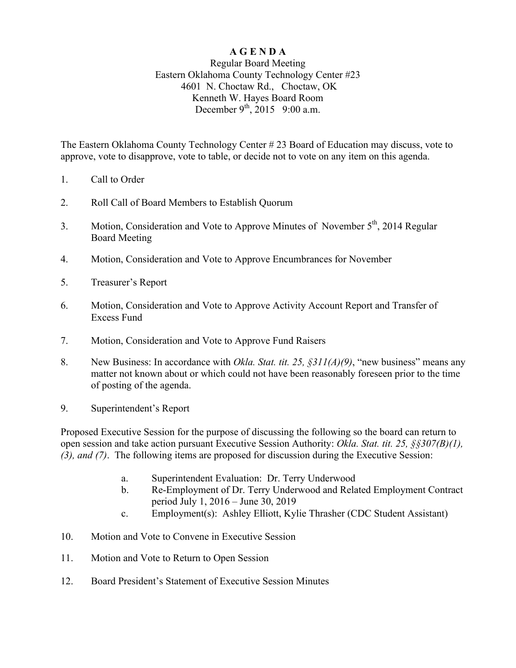## **A G E N D A**

## Regular Board Meeting Eastern Oklahoma County Technology Center #23 4601 N. Choctaw Rd., Choctaw, OK Kenneth W. Hayes Board Room December  $9^{th}$ , 2015 9:00 a.m.

The Eastern Oklahoma County Technology Center # 23 Board of Education may discuss, vote to approve, vote to disapprove, vote to table, or decide not to vote on any item on this agenda.

- 1. Call to Order
- 2. Roll Call of Board Members to Establish Quorum
- 3. Motion, Consideration and Vote to Approve Minutes of November 5<sup>th</sup>, 2014 Regular Board Meeting
- 4. Motion, Consideration and Vote to Approve Encumbrances for November
- 5. Treasurer's Report
- 6. Motion, Consideration and Vote to Approve Activity Account Report and Transfer of Excess Fund
- 7. Motion, Consideration and Vote to Approve Fund Raisers
- 8. New Business: In accordance with *Okla. Stat. tit. 25, §311(A)(9)*, "new business" means any matter not known about or which could not have been reasonably foreseen prior to the time of posting of the agenda.
- 9. Superintendent's Report

Proposed Executive Session for the purpose of discussing the following so the board can return to open session and take action pursuant Executive Session Authority: *Okla. Stat. tit. 25, §§307(B)(1), (3), and (7)*. The following items are proposed for discussion during the Executive Session:

- a. Superintendent Evaluation: Dr. Terry Underwood
- b. Re-Employment of Dr. Terry Underwood and Related Employment Contract period July 1, 2016 – June 30, 2019
- c. Employment(s): Ashley Elliott, Kylie Thrasher (CDC Student Assistant)
- 10. Motion and Vote to Convene in Executive Session
- 11. Motion and Vote to Return to Open Session
- 12. Board President's Statement of Executive Session Minutes